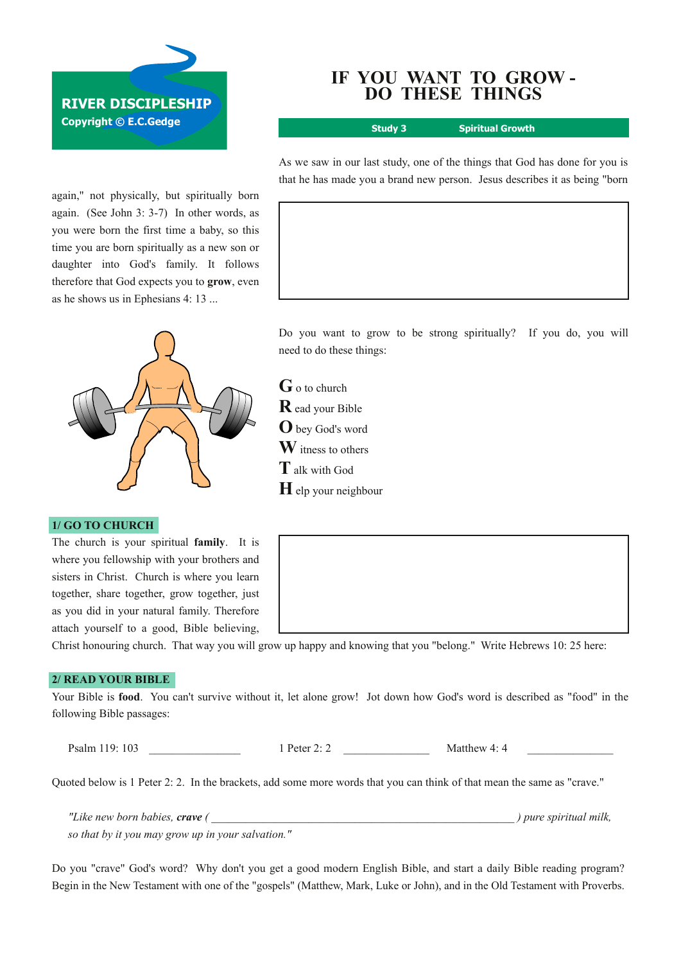# **RIVER DISCIPLESHIP**

**Copyright © E.C.Gedge**

again," not physically, but spiritually born again. (See John  $3: 3-7$ ) In other words, as you were born the first time a baby, so this time you are born spiritually as a new son or daughter into God's family. It follows therefore that God expects you to **grow**, even as he shows us in Ephesians 4: 13 ...



# **1/ GO TO CHURCH**

The church is your spiritual **family**. It is where you fellowship with your brothers and sisters in Christ. Church is where you learn together, share together, grow together, just as you did in your natural family. Therefore attach yourself to a good, Bible believing,

### Christ honouring church. That way you will grow up happy and knowing that you "belong." Write Hebrews 10: 25 here:

# **2/ READ YOUR BIBLE**

Your Bible is **food**. You can't survive without it, let alone grow! Jot down how God's word is described as "food" in the following Bible passages:

Psalm 119: 103 **a**  $\frac{1 \text{ Peter 2: 2}}{1 \text{ Peter 2: 2}}$  Matthew 4: 4

Quoted below is 1 Peter 2: 2. In the brackets, add some more words that you can think of that mean the same as "crave."

*"Like new born babies, crave ( \_\_\_\_\_\_\_\_\_\_\_\_\_\_\_\_\_\_\_\_\_\_\_\_\_\_\_\_\_\_\_\_\_\_\_\_\_\_\_\_\_\_\_\_\_\_\_\_\_\_\_\_\_ ) pure spiritual milk, so that by it you may grow up in your salvation."*

Do you "crave" God's word? Why don't you get a good modern English Bible, and start a daily Bible reading program? Begin in the New Testament with one of the "gospels" (Matthew, Mark, Luke or John), and in the Old Testament with Proverbs.

# **IF YOU WANT TO GROW DO THESE THINGS**

**Study 3 Spiritual Growth**

As we saw in our last study, one of the things that God has done for you is that he has made you a brand new person. Jesus describes it as being "born

Do you want to grow to be strong spiritually? If you do, you will need to do these things:

**G**<sup>o</sup> to church **R** ead your Bible **O**bey God's word **W**itness to others **T**alk with God **H**elp your neighbour

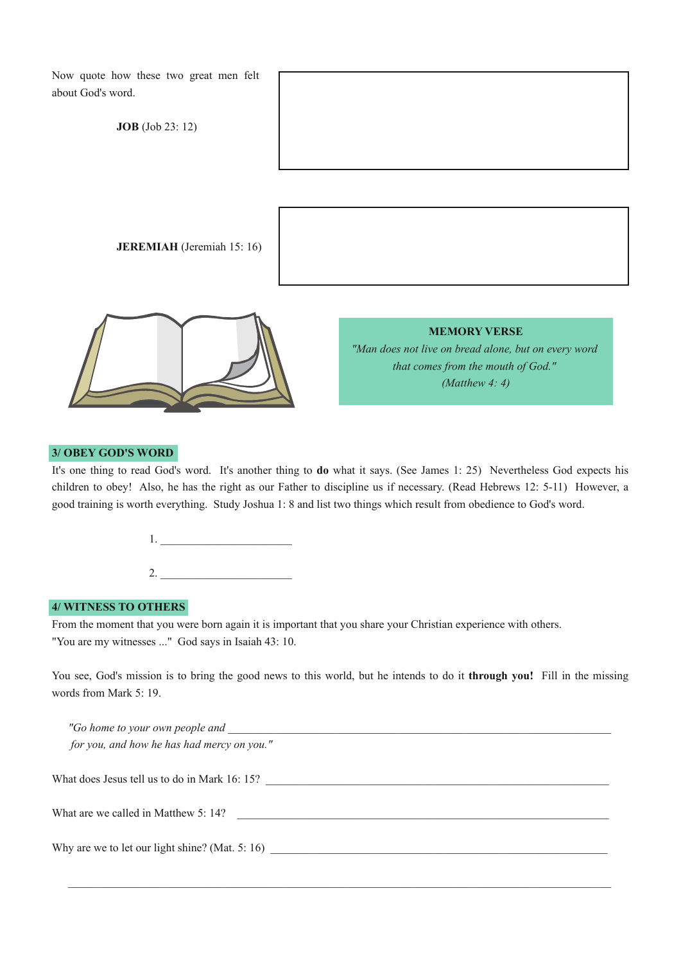| Now quote how these two great men felt<br>about God's word. |                                                                                                                                       |
|-------------------------------------------------------------|---------------------------------------------------------------------------------------------------------------------------------------|
| <b>JOB</b> (Job 23: 12)                                     |                                                                                                                                       |
|                                                             |                                                                                                                                       |
| <b>JEREMIAH</b> (Jeremiah 15: 16)                           |                                                                                                                                       |
|                                                             | <b>MEMORY VERSE</b><br>"Man does not live on bread alone, but on every word<br>that comes from the mouth of God."<br>(Matthew $4:4$ ) |

### **3/ OBEY GOD'S WORD**

It's one thing to read God's word. It's another thing to **do** what it says. (See James 1: 25) Nevertheless God expects his children to obey! Also, he has the right as our Father to discipline us if necessary. (Read Hebrews 12: 5-11) However, a good training is worth everything. Study Joshua 1: 8 and list two things which result from obedience to God's word.

1. \_\_\_\_\_\_\_\_\_\_\_\_\_\_\_\_\_\_\_\_\_\_\_

2. \_\_\_\_\_\_\_\_\_\_\_\_\_\_\_\_\_\_\_\_\_\_\_

# **4/ WITNESS TO OTHERS**

From the moment that you were born again it is important that you share your Christian experience with others. "You are my witnesses ..." God says in Isaiah 43: 10.

You see, God's mission is to bring the good news to this world, but he intends to do it **through you!** Fill in the missing words from Mark 5: 19.

| "Go home to your own people and                 |  |
|-------------------------------------------------|--|
| for you, and how he has had mercy on you."      |  |
|                                                 |  |
| What does Jesus tell us to do in Mark 16:15?    |  |
|                                                 |  |
| What are we called in Matthew 5: 14?            |  |
|                                                 |  |
| Why are we to let our light shine? (Mat. 5: 16) |  |
|                                                 |  |